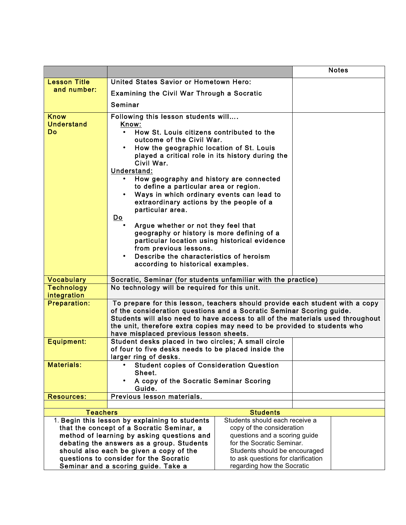|                                                                                                                                                                                                                                   |                                                                                                                                                                                                                                                                                                                                                                                                                                                                                                                                                                                                                                                                                                                                    |                                                                                                                                                            |  | <b>Notes</b> |
|-----------------------------------------------------------------------------------------------------------------------------------------------------------------------------------------------------------------------------------|------------------------------------------------------------------------------------------------------------------------------------------------------------------------------------------------------------------------------------------------------------------------------------------------------------------------------------------------------------------------------------------------------------------------------------------------------------------------------------------------------------------------------------------------------------------------------------------------------------------------------------------------------------------------------------------------------------------------------------|------------------------------------------------------------------------------------------------------------------------------------------------------------|--|--------------|
| <b>Lesson Title</b>                                                                                                                                                                                                               | United States Savior or Hometown Hero:                                                                                                                                                                                                                                                                                                                                                                                                                                                                                                                                                                                                                                                                                             |                                                                                                                                                            |  |              |
| and number:                                                                                                                                                                                                                       | <b>Examining the Civil War Through a Socratic</b>                                                                                                                                                                                                                                                                                                                                                                                                                                                                                                                                                                                                                                                                                  |                                                                                                                                                            |  |              |
|                                                                                                                                                                                                                                   | Seminar                                                                                                                                                                                                                                                                                                                                                                                                                                                                                                                                                                                                                                                                                                                            |                                                                                                                                                            |  |              |
| <b>Know</b>                                                                                                                                                                                                                       |                                                                                                                                                                                                                                                                                                                                                                                                                                                                                                                                                                                                                                                                                                                                    |                                                                                                                                                            |  |              |
| <b>Understand</b><br><b>Do</b>                                                                                                                                                                                                    | Following this lesson students will<br>Know:<br>How St. Louis citizens contributed to the<br>outcome of the Civil War.<br>How the geographic location of St. Louis<br>played a critical role in its history during the<br>Civil War.<br>Understand:<br>How geography and history are connected<br>to define a particular area or region.<br>Ways in which ordinary events can lead to<br>extraordinary actions by the people of a<br>particular area.<br>$\underline{\mathsf{Do}}$<br>Argue whether or not they feel that<br>geography or history is more defining of a<br>particular location using historical evidence<br>from previous lessons.<br>Describe the characteristics of heroism<br>according to historical examples. |                                                                                                                                                            |  |              |
|                                                                                                                                                                                                                                   |                                                                                                                                                                                                                                                                                                                                                                                                                                                                                                                                                                                                                                                                                                                                    |                                                                                                                                                            |  |              |
| <b>Vocabulary</b>                                                                                                                                                                                                                 |                                                                                                                                                                                                                                                                                                                                                                                                                                                                                                                                                                                                                                                                                                                                    | Socratic, Seminar (for students unfamiliar with the practice)                                                                                              |  |              |
| <b>Technology</b><br>integration                                                                                                                                                                                                  | No technology will be required for this unit.                                                                                                                                                                                                                                                                                                                                                                                                                                                                                                                                                                                                                                                                                      |                                                                                                                                                            |  |              |
| <b>Preparation:</b>                                                                                                                                                                                                               | To prepare for this lesson, teachers should provide each student with a copy<br>of the consideration questions and a Socratic Seminar Scoring guide.<br>Students will also need to have access to all of the materials used throughout<br>the unit, therefore extra copies may need to be provided to students who<br>have misplaced previous lesson sheets.                                                                                                                                                                                                                                                                                                                                                                       |                                                                                                                                                            |  |              |
| <b>Equipment:</b>                                                                                                                                                                                                                 | Student desks placed in two circles; A small circle<br>of four to five desks needs to be placed inside the<br>larger ring of desks.                                                                                                                                                                                                                                                                                                                                                                                                                                                                                                                                                                                                |                                                                                                                                                            |  |              |
| <b>Materials:</b>                                                                                                                                                                                                                 | <b>Student copies of Consideration Question</b><br>Sheet.<br>A copy of the Socratic Seminar Scoring<br>Guide.                                                                                                                                                                                                                                                                                                                                                                                                                                                                                                                                                                                                                      |                                                                                                                                                            |  |              |
| <b>Resources:</b>                                                                                                                                                                                                                 | Previous lesson materials.                                                                                                                                                                                                                                                                                                                                                                                                                                                                                                                                                                                                                                                                                                         |                                                                                                                                                            |  |              |
|                                                                                                                                                                                                                                   |                                                                                                                                                                                                                                                                                                                                                                                                                                                                                                                                                                                                                                                                                                                                    |                                                                                                                                                            |  |              |
| <b>Students</b><br><b>Teachers</b>                                                                                                                                                                                                |                                                                                                                                                                                                                                                                                                                                                                                                                                                                                                                                                                                                                                                                                                                                    |                                                                                                                                                            |  |              |
| 1. Begin this lesson by explaining to students<br>that the concept of a Socratic Seminar, a<br>method of learning by asking questions and<br>debating the answers as a group. Students<br>should also each be given a copy of the |                                                                                                                                                                                                                                                                                                                                                                                                                                                                                                                                                                                                                                                                                                                                    | Students should each receive a<br>copy of the consideration<br>questions and a scoring guide<br>for the Socratic Seminar.<br>Students should be encouraged |  |              |
| questions to consider for the Socratic<br>Seminar and a scoring guide. Take a                                                                                                                                                     |                                                                                                                                                                                                                                                                                                                                                                                                                                                                                                                                                                                                                                                                                                                                    | to ask questions for clarification<br>regarding how the Socratic                                                                                           |  |              |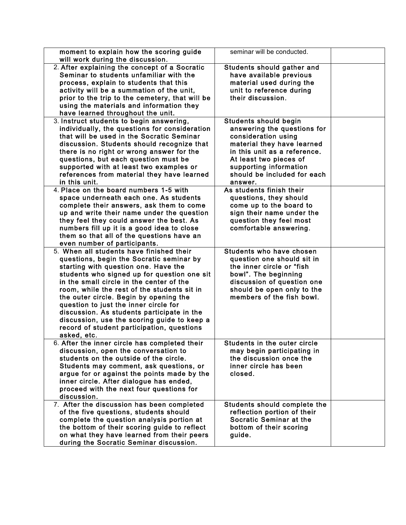| moment to explain how the scoring guide<br>will work during the discussion.                | seminar will be conducted.                            |  |
|--------------------------------------------------------------------------------------------|-------------------------------------------------------|--|
| 2. After explaining the concept of a Socratic                                              | Students should gather and                            |  |
| Seminar to students unfamiliar with the                                                    | have available previous                               |  |
| process, explain to students that this                                                     | material used during the                              |  |
| activity will be a summation of the unit,                                                  | unit to reference during                              |  |
| prior to the trip to the cemetery, that will be                                            | their discussion.                                     |  |
| using the materials and information they                                                   |                                                       |  |
| have learned throughout the unit.                                                          |                                                       |  |
| 3. Instruct students to begin answering,                                                   | <b>Students should begin</b>                          |  |
| individually, the questions for consideration                                              | answering the questions for                           |  |
| that will be used in the Socratic Seminar                                                  | consideration using                                   |  |
| discussion. Students should recognize that                                                 | material they have learned                            |  |
| there is no right or wrong answer for the                                                  | in this unit as a reference.                          |  |
| questions, but each question must be                                                       | At least two pieces of                                |  |
| supported with at least two examples or                                                    | supporting information<br>should be included for each |  |
| references from material they have learned<br>in this unit.                                | answer.                                               |  |
| 4. Place on the board numbers 1-5 with                                                     | As students finish their                              |  |
| space underneath each one. As students                                                     | questions, they should                                |  |
| complete their answers, ask them to come                                                   | come up to the board to                               |  |
| up and write their name under the question                                                 | sign their name under the                             |  |
| they feel they could answer the best. As                                                   | question they feel most                               |  |
| numbers fill up it is a good idea to close                                                 | comfortable answering.                                |  |
| them so that all of the questions have an                                                  |                                                       |  |
| even number of participants.                                                               |                                                       |  |
| 5. When all students have finished their                                                   | Students who have chosen                              |  |
| questions, begin the Socratic seminar by                                                   | question one should sit in                            |  |
| starting with question one. Have the                                                       | the inner circle or "fish                             |  |
| students who signed up for question one sit                                                | bowl". The beginning                                  |  |
| in the small circle in the center of the                                                   | discussion of question one                            |  |
| room, while the rest of the students sit in                                                | should be open only to the                            |  |
| the outer circle. Begin by opening the<br>question to just the inner circle for            | members of the fish bowl.                             |  |
| discussion. As students participate in the                                                 |                                                       |  |
| discussion, use the scoring guide to keep a                                                |                                                       |  |
| record of student participation, questions                                                 |                                                       |  |
| asked, etc.                                                                                |                                                       |  |
| 6. After the inner circle has completed their                                              | Students in the outer circle                          |  |
| discussion, open the conversation to                                                       | may begin participating in                            |  |
| students on the outside of the circle.                                                     | the discussion once the                               |  |
| Students may comment, ask questions, or                                                    | inner circle has been                                 |  |
| argue for or against the points made by the                                                | closed.                                               |  |
| inner circle. After dialogue has ended,                                                    |                                                       |  |
| proceed with the next four questions for                                                   |                                                       |  |
| discussion.                                                                                |                                                       |  |
| 7. After the discussion has been completed                                                 | Students should complete the                          |  |
| of the five questions, students should                                                     | reflection portion of their                           |  |
| complete the question analysis portion at                                                  | Socratic Seminar at the                               |  |
| the bottom of their scoring guide to reflect<br>on what they have learned from their peers | bottom of their scoring<br>guide.                     |  |
| during the Socratic Seminar discussion.                                                    |                                                       |  |
|                                                                                            |                                                       |  |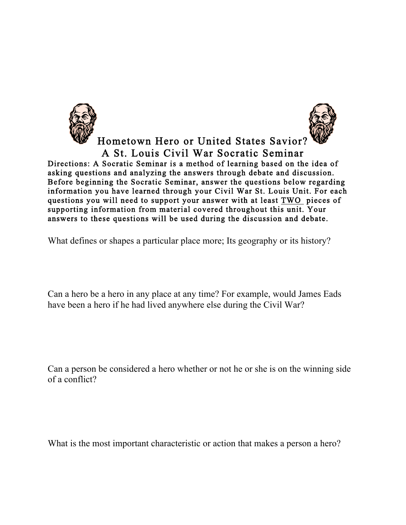Hometown Hero or United States Savior? A St. Louis Civil War Socratic Seminar<br>Directions: A Socratic Seminar is a method of learning based on the idea of asking questions and analyzing the answers through debate and discussion. Before beginning the Socratic Seminar, answer the questions below regarding information you have learned through your Civil War St. Louis Unit. For each questions you will need to support your answer with at least TWO pieces of supporting information from material covered throughout this unit. Your answers to these questions will be used during the discussion and debate.

What defines or shapes a particular place more; Its geography or its history?

Can a hero be a hero in any place at any time? For example, would James Eads have been a hero if he had lived anywhere else during the Civil War?

Can a person be considered a hero whether or not he or she is on the winning side of a conflict?

What is the most important characteristic or action that makes a person a hero?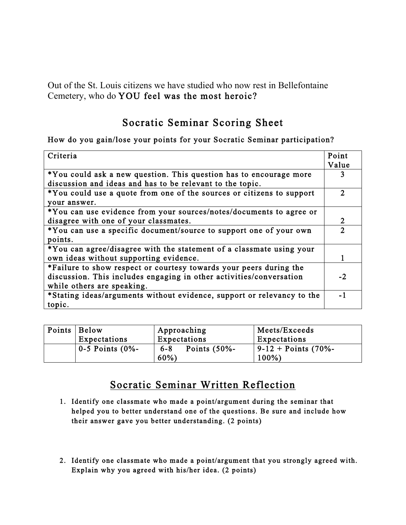Out of the St. Louis citizens we have studied who now rest in Bellefontaine Cemetery, who do YOU feel was the most heroic?

## Socratic Seminar Scoring Sheet

## How do you gain/lose your points for your Socratic Seminar participation?

| Criteria                                                               | Point          |
|------------------------------------------------------------------------|----------------|
|                                                                        | Value          |
| *You could ask a new question. This question has to encourage more     |                |
| discussion and ideas and has to be relevant to the topic.              |                |
| *You could use a quote from one of the sources or citizens to support  | $\mathfrak{D}$ |
| your answer.                                                           |                |
| *You can use evidence from your sources/notes/documents to agree or    |                |
| disagree with one of your classmates.                                  | 2              |
| *You can use a specific document/source to support one of your own     | C              |
| points.                                                                |                |
| *You can agree/disagree with the statement of a classmate using your   |                |
| own ideas without supporting evidence.                                 |                |
| *Failure to show respect or courtesy towards your peers during the     |                |
| discussion. This includes engaging in other activities/conversation    | $-2.$          |
| while others are speaking.                                             |                |
| *Stating ideas/arguments without evidence, support or relevancy to the | - 1            |
| topic.                                                                 |                |

| Points   Below |                         | Approaching                | Meets/Exceeds          |
|----------------|-------------------------|----------------------------|------------------------|
|                | Expectations            | Expectations               | Expectations           |
|                | $\vert$ 0-5 Points (0%- | Points $(50% -$<br>$6 - 8$ | $9-12 + Points (70% -$ |
|                |                         | $60\%$                     | $100\%$                |

## Socratic Seminar Written Reflection

- 1. Identify one classmate who made a point/argument during the seminar that helped you to better understand one of the questions. Be sure and include how their answer gave you better understanding. (2 points)
- 2. Identify one classmate who made a point/argument that you strongly agreed with. Explain why you agreed with his/her idea. (2 points)